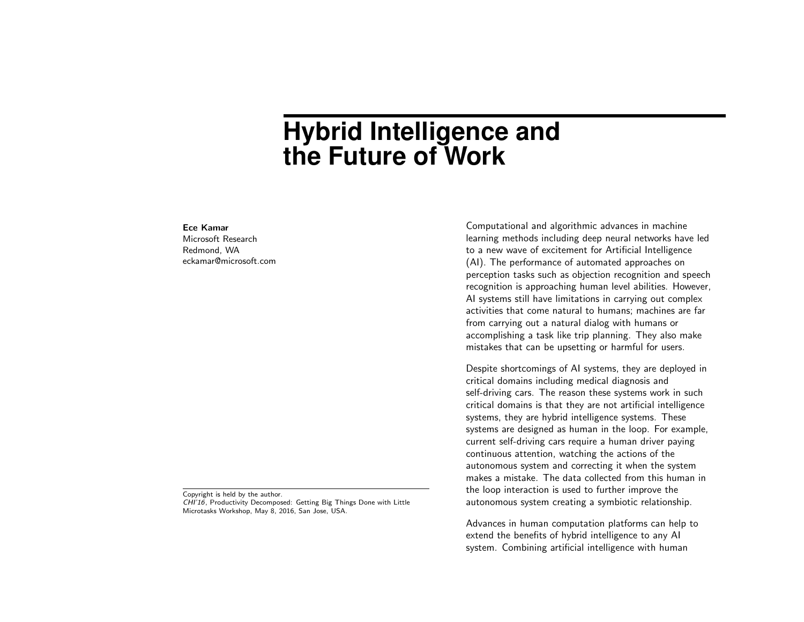## **Hybrid Intelligence and the Future of Work**

## Ece Kamar

Microsoft Research Redmond, WA eckamar@microsoft.com

Copyright is held by the author. CHI'16, Productivity Decomposed: Getting Big Things Done with Little Microtasks Workshop, May 8, 2016, San Jose, USA.

Computational and algorithmic advances in machine learning methods including deep neural networks have led to a new wave of excitement for Artificial Intelligence (AI). The performance of automated approaches on perception tasks such as objection recognition and speech recognition is approaching human level abilities. However, AI systems still have limitations in carrying out complex activities that come natural to humans; machines are far from carrying out a natural dialog with humans or accomplishing a task like trip planning. They also make mistakes that can be upsetting or harmful for users.

Despite shortcomings of AI systems, they are deployed in critical domains including medical diagnosis and self-driving cars. The reason these systems work in such critical domains is that they are not artificial intelligence systems, they are hybrid intelligence systems. These systems are designed as human in the loop. For example, current self-driving cars require a human driver paying continuous attention, watching the actions of the autonomous system and correcting it when the system makes a mistake. The data collected from this human in the loop interaction is used to further improve the autonomous system creating a symbiotic relationship.

Advances in human computation platforms can help to extend the benefits of hybrid intelligence to any AI system. Combining artificial intelligence with human